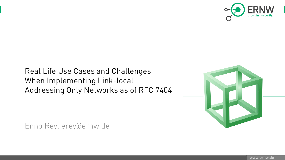

## Real Life Use Cases and Challenges When Implementing Link-local Addressing Only Networks as of RFC 7404



Enno Rey, erey@ernw.de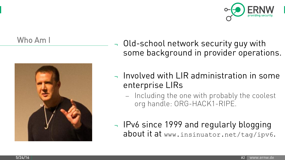

### Who Am I



Old-school network security guy with some background in provider operations.

- Involved with LIR administration in some enterprise LIRs
	- Including the one with probably the coolest org handle: ORG-HACK1-RIPE.
- <sup>¬</sup> IPv6 since 1999 and regularly blogging about it at www.insinuator.net/tag/ipv6.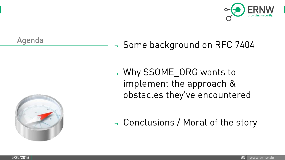

### Agenda



## ¬ Some background on RFC 7404

¬ Why \$SOME\_ORG wants to implement the approach & obstacles they've encountered

<sup>¬</sup> Conclusions / Moral of the story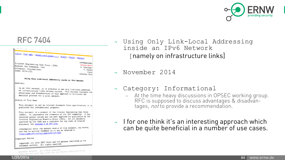

| [Docs] [txt pdf] [draft-ietf-opsec-] [Diff]] [Diff2] [Errata]                                                                                                                                                                                                                                                                                                                            |                                                                                             |
|------------------------------------------------------------------------------------------------------------------------------------------------------------------------------------------------------------------------------------------------------------------------------------------------------------------------------------------------------------------------------------------|---------------------------------------------------------------------------------------------|
| Internet Engineering Task Force (IETF)<br>Request for Comments: 7404<br>Category: Informational<br>ISSN: 2070-1721                                                                                                                                                                                                                                                                       | <b>INFORMATIONAL</b><br>Errata Exist<br>M. Behringer<br>E. Vyncke<br>Cisco<br>November 2014 |
| Using Only Link-Local Addressing inside an IPv6 Network                                                                                                                                                                                                                                                                                                                                  |                                                                                             |
| Abstract                                                                                                                                                                                                                                                                                                                                                                                 |                                                                                             |
| In an IPv6 network, it is possible to use only link-local addresses<br>on infrastructure links between routers. This document discusses the<br>advantages and disadvantages of this approach to facilitate the<br>decision process for a given network.                                                                                                                                  |                                                                                             |
| Status of This Memo                                                                                                                                                                                                                                                                                                                                                                      |                                                                                             |
| This document is not an Internet Standards Track specification; it is<br>published for informational purposes.                                                                                                                                                                                                                                                                           |                                                                                             |
| This document is a product of the Internet Engineering Task Force<br>(IETF). It represents the consensus of the IETF community. It has<br>received public review and has been approved for publication by the<br>Internet Engineering Steering Group (IESG). Not all documents<br>approved by the IESG are a candidate for any level of Internet<br>Standard; see Section 2 of RFC 5741. |                                                                                             |
| Information about the current status of this document, any errata,<br>and how to provide feedback on it may be obtained at<br>http://www.rfc-editor.org/info/rfc7404                                                                                                                                                                                                                     |                                                                                             |
| Copyright Notice<br>Copyright (c) 2014 IETF Trust and the persons identified as the<br>document authors. All rights reserved.                                                                                                                                                                                                                                                            |                                                                                             |

authors. All rights reserved. (c) 2014 IETF Trust and the persons identified as the<br>authors. All rights reserved.

- RFC 7404 Jusing Only Link-Local Addressing inside an IPv6 Network [namely on infrastructure links]
	- <sup>¬</sup> November 2014
	- <sup>¬</sup> Category: Informational
		- At the time heavy discussions in OPSEC working group. RFC is supposed to discuss advantages & disadvantages, *not* to provide a recommendation.
	- <sup>¬</sup> I for one think it's an interesting approach which can be quite beneficial in a number of use cases.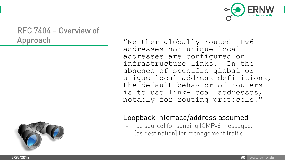

# RFC 7404 – Overview of



- Approach  **"Neither globally routed IPv6** addresses nor unique local addresses are configured on infrastructure links. In the absence of specific global or unique local address definitions, the default behavior of routers is to use link-local addresses, notably for routing protocols."
	- ¬ Loopback interface/address assumed
		- [as source] for sending ICMPv6 messages.
		- [as destination] for management traffic.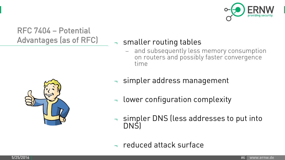

RFC 7404 – Potential Advantages (as of RFC) - smaller routing tables



 and subsequently less memory consumption on routers and possibly faster convergence time



- lower configuration complexity
- ¬ simpler DNS (less addresses to put into DNS)
- <sup>¬</sup> reduced attack surface

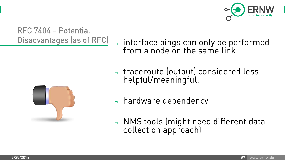

## RFC 7404 – Potential Disadvantages (as of RFC) - interface pings can only be performed

from a node on the same link. <sup>¬</sup> traceroute (output) considered less



- helpful/meaningful.
- <sup>¬</sup> hardware dependency
- <sup>¬</sup> NMS tools (might need different data collection approach)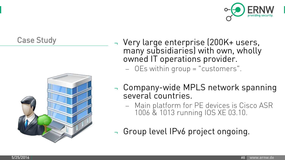



- Case Study **The Case Study Arror Case Study Very large enterprise (200K+ users,** many subsidiaries) with own, wholly owned IT operations provider.
	- OEs within group = "customers".
	- <sup>¬</sup> Company-wide MPLS network spanning several countries.
		- Main platform for PE devices is Cisco ASR 1006 & 1013 running IOS XE 03.10.
	- <sup>¬</sup> Group level IPv6 project ongoing.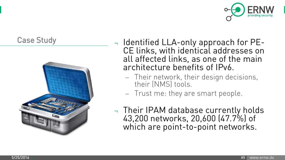



- Case Study **Case Study**  $\rightarrow$  Identified LLA-only approach for PE-CE links, with identical addresses on all affected links, as one of the main architecture benefits of IPv6.
	- Their network, their design decisions, their (NMS) tools.
	- Trust me: they are smart people.
	- <sup>¬</sup> Their IPAM database currently holds 43,200 networks, 20,600 (47.7%) of which are point-to-point networks.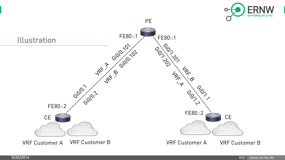

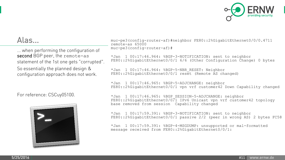

... when performing the configuration of second BGP peer, the remote-as statement of the 1st one gets "corrupted". So essentially the planned design & configuration approach does not work.

For reference: CSCuy05100.



Alas... muc-pe3(config-router-af)#neighbor FE80::2%GigabitEthernet0/0/0.4711 remote-as 65000 muc-pe3(config-router-af)#

> \*Jan 1 00:17:46.964: %BGP-3-NOTIFICATION: sent to neighbor FE80::2%GigabitEthernet0/0/1 6/6 (Other Configuration Change) 0 bytes

\*Jan 1 00:17:46.964: %BGP-5-NBR\_RESET: Neighbor FE80::2%GigabitEthernet0/0/1 reset (Remote AS changed)

\*Jan 1 00:17:46.965: %BGP-5-ADJCHANGE: neighbor FE80::2%GigabitEthernet0/0/1 vpn vrf customer42 Down Capability changed

\*Jan 1 00:17:46.965: %BGP\_SESSION-5-ADJCHANGE: neighbor FE80::2%GigabitEthernet0/0/1 IPv6 Unicast vpn vrf customer42 topology base removed from session Capability changed

\*Jan 1 00:17:59.391: %BGP-3-NOTIFICATION: sent to neighbor FE80::2%GigabitEthernet0/0/1 passive 2/2 (peer in wrong AS) 2 bytes FC58

\*Jan 1 00:17:59.391: %BGP-4-MSGDUMP: unsupported or mal-formatted message received from FE80::2%GigabitEthernet0/0/1: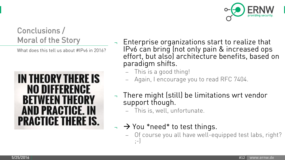

# Conclusions /

What does this tell us about #IPv6 in 2016?



- Moral of the Story  $\Box$  Enterprise organizations start to realize that IPv6 can bring (not only pain & increased ops effort, but also) architecture benefits, based on paradigm shifts.
	- This is a good thing!
	- Again, I encourage you to read RFC 7404.
	- There might (still) be limitations wrt vendor support though.
		- This is, well, unfortunate.
	- $\rightarrow$  You \*need\* to test things.
		- Of course you all have well-equipped test labs, right? ;-)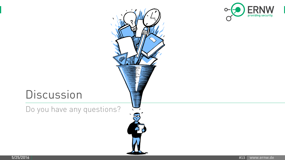

## **Discussion**

Do you have any questions?

医  $\sqrt{ }$ 

5/25/2016 #13